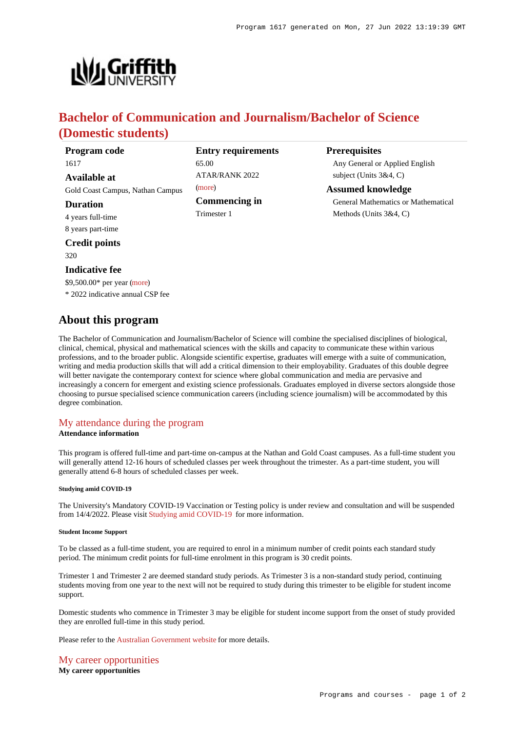

# **Bachelor of Communication and Journalism/Bachelor of Science (Domestic students)**

| Program code                     | <b>Entry requirements</b> | <b>Prerequisites</b>                       |
|----------------------------------|---------------------------|--------------------------------------------|
| 1617                             | 65.00                     | Any General or Applied English             |
| Available at                     | <b>ATAR/RANK 2022</b>     | subject (Units $3&4, C$ )                  |
| Gold Coast Campus, Nathan Campus | (more)                    | <b>Assumed knowledge</b>                   |
| <b>Duration</b>                  | <b>Commencing in</b>      | <b>General Mathematics or Mathematical</b> |
| 4 years full-time                | Trimester 1               | Methods (Units $3&4, C$ )                  |
| 8 years part-time                |                           |                                            |

**Credit points**

320

## **Indicative fee**

\$9,500.00\* per year [\(more](https://www148.griffith.edu.au/programs-courses/Program/1617/Overview/Domestic#fees))

\* 2022 indicative annual CSP fee

## **About this program**

The Bachelor of Communication and Journalism/Bachelor of Science will combine the specialised disciplines of biological, clinical, chemical, physical and mathematical sciences with the skills and capacity to communicate these within various professions, and to the broader public. Alongside scientific expertise, graduates will emerge with a suite of communication, writing and media production skills that will add a critical dimension to their employability. Graduates of this double degree will better navigate the contemporary context for science where global communication and media are pervasive and increasingly a concern for emergent and existing science professionals. Graduates employed in diverse sectors alongside those choosing to pursue specialised science communication careers (including science journalism) will be accommodated by this degree combination.

# [My attendance during the program](https://www148.griffith.edu.au/programs-courses/Program/1617/Overview/Domestic#attendance)

## **Attendance information**

This program is offered full-time and part-time on-campus at the Nathan and Gold Coast campuses. As a full-time student you will generally attend 12-16 hours of scheduled classes per week throughout the trimester. As a part-time student, you will generally attend 6-8 hours of scheduled classes per week.

## **Studying amid COVID-19**

The University's Mandatory COVID-19 Vaccination or Testing policy is under review and consultation and will be suspended from 14/4/2022. Please visit [Studying amid COVID-19](https://www.griffith.edu.au/coronavirus/studying-amid-covid-19) for more information.

### **Student Income Support**

To be classed as a full-time student, you are required to enrol in a minimum number of credit points each standard study period. The minimum credit points for full-time enrolment in this program is 30 credit points.

Trimester 1 and Trimester 2 are deemed standard study periods. As Trimester 3 is a non-standard study period, continuing students moving from one year to the next will not be required to study during this trimester to be eligible for student income support.

Domestic students who commence in Trimester 3 may be eligible for student income support from the onset of study provided they are enrolled full-time in this study period.

Please refer to the [Australian Government website](https://www.humanservices.gov.au/customer/dhs/centrelink) for more details.

[My career opportunities](https://www148.griffith.edu.au/programs-courses/Program/1617/Overview/Domestic#opportunities) **My career opportunities**